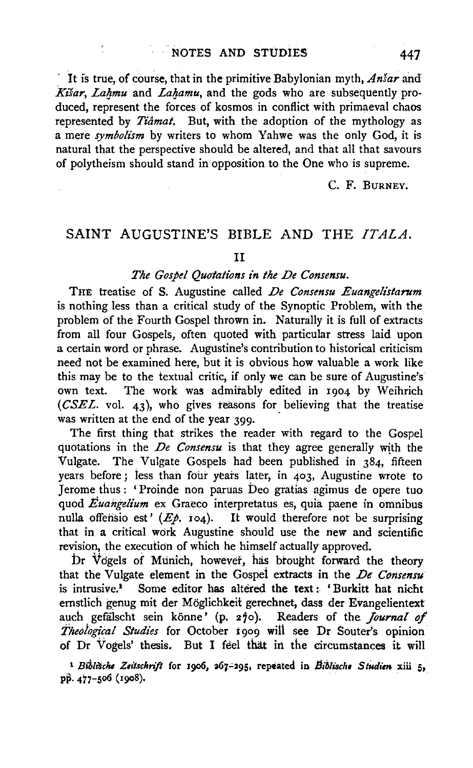It is true, of course, that in the primitive Babylonian myth,  $An \xi a r$  and Kisar, Lahmu and Lahamu, and the gods who are subsequently produced, represent the forces of kosmos in conflict with primaeval chaos represented by *Tiamat.* But, with the adoption of the mythology as a mere *symbolism* by writers to whom Yahwe was the only God, it is natural that the perspective should be altered, and that all that savours of polytheism should stand in opposition to the One who is supreme.

c. F. BURNEY.

# SAINT AUGUSTINE'S BIBLE AND THE *ITALA.*

#### II

### *The Gospel Quotations in the .De Consensu.*

THE treatise of S. Augustine called *De Consensu Euangelistarum* is nothing less than a critical study of the Synoptic Problem, with the problem of the Fourth Gospel thrown in. Naturally it is full of extracts from all four Gospels, often quoted with particular stress laid upon a certain word or phrase. Augustine's contribution to historical criticism need not be examined here, but it is obvious how valuable a work like this may be to the textual critic, if only we can be sure of Augustine's<br>own text. The work was admirably edited in 1904 by Weihrich The work was admirably edited in 1904 by Weihrich *(CSEL.* vol. 43), who gives teasons for believing that the treatise was written at the end of the year 399.

The first thing that strikes the reader with regard to the Gospel quotations in the *De Consensu* is that they agree generally with the Vulgate. The Vulgate Gospels had been published in 384, fifteen years before; less than fbur years later, in 403, Augustine wrote to Jerome thus: 'Proinde non paruas beo gratias agimus de opere tuo quod *Euangelium* ex Graeco interpretatus es, quia paene in omnibus nulla offensio est'  $(E_{\rho}, i_{04})$ . It would therefore not be surprising that in a critical work Augustine should use the new and scientific revision, the execution of which he himself actually approved.

br Vdgels of Munich, however, has brought forward the theory that the Vulgate element in the Gospel extracts in the *De Consensu* is intrusive.<sup>1</sup> Some editor has altered the text: 'Burkitt hat nicht emstlich genug mit der Moglichkeit gerechnet, dass der Evangelientext auch gefälscht sein könne' (p. 270). Readers of the *Journal of Theological Studies* for October 1909 will see Dr Souter's opinion of Dr Vogels' thesis. But I feel that in the circumstances it will

<sup>1</sup> Biblišche Zeitschrift for 1906, 267-295, repeated in Biblische Studien xiii 5, pp. 477-506 (1908).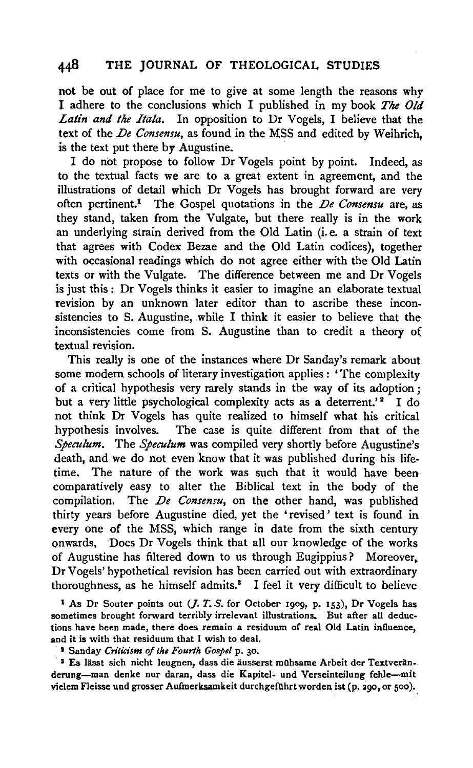not be out of place for me to give at some length the reasons why l adhere to the conclusions which I published in my book *The Old Latin and the Itala.* In opposition to Dr Vogels, I believe that the text of the *De Consensu*, as found in the MSS and edited by Weihrich. is the text put there by Augustine.

I do not propose to follow Dr Vogels point by point. Indeed, as to the textual facts we are to a great extent in agreement, and the illustrations of detail which Dr Vogels has brought forward are very often pertinent.<sup>1</sup> The Gospel quotations in the *De Consensu* are, as they stand, taken from the Vulgate, but there really is in the work an underlying strain derived from the Old Latin (i.e. a strain of text that agrees with Codex Bezae and the Old Latin codices), together with occasional readings which do not agree either with the Old Latin texts or with the Vulgate. The difference between me and Dr Vogels is just this : Dr Vogels thinks it easier to imagine an elaborate textual revision by an unknown later editor than to ascribe these inconsistencies to S. Augustine, while I think it easier to believe that the inconsistencies come from S. Augustine than to credit a theory of textual revision.

This really is one of the instances where Dr Sanday's remark about some modem schools of literary investigation applies : 'The complexity of a critical hypothesis very rarely stands in the way of its adoption ; but a very little psychological complexity acts as a deterrent.'<sup>2</sup> I do not think Dr Vogels has quite realized to himself what his critical hypothesis involves. The case is quite different from that of the *Speculum.* The *Speculum* was compiled very shortly before Augustine's death, and we do not even know that it was published during his lifetime. The nature of the work was such that it would have been comparatively easy to alter the Biblical text in the body of the compilation. The *De Consensu*, on the other hand, was published thirty years before Augustine died, yet the 'revised' text is found in every one of the MSS, which range in date from the sixth century onwards, Does Dr Vogels think that all our knowledge of the works of Augustine has filtered down to us through Eugippius? Moreover, Dr Vogels' hypothetical revision has been carried out with extraordinary thoroughness, as he himself admits.<sup>3</sup> I feel it very difficult to believe.

<sup>1</sup> As Dr Souter points out (*J. T. S.* for October 1909, p. 153), Dr Vogels has sometimes brought forward terribly irrelevant illustrations. But after all deductions have been made, there does remain a residuum of real Old Latin influence, and it is with that residuum that I wish to deal.

· l Sanday *Cn'iicism of the Fourth Gospel* p. 30.

<sup>3</sup> Es lässt sich nicht leugnen, dass die äusserst mühsame Arbeit der Textveränderung-man denke nur daran, dass die Kapitel- und Verseinteilung fehle-mit vielem Fleisse und grosser Aufmerksamkeit durchgeführt worden ist (p. 290, or 500).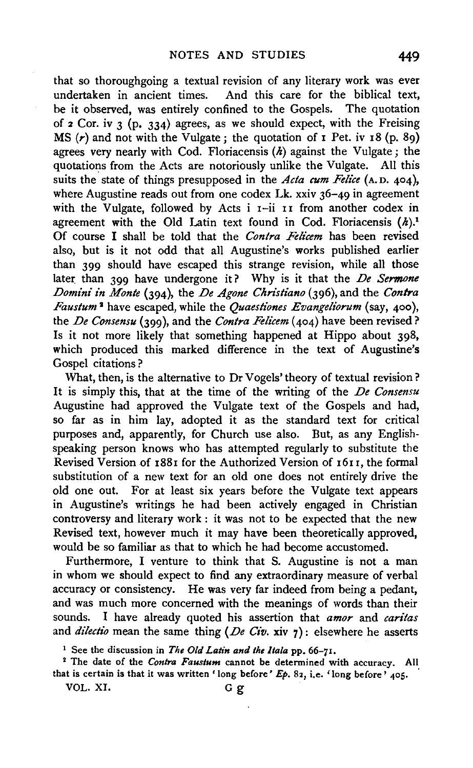that so thoroughgoing a textual revision of any literary work was ever undertaken in ancient times. And this care for the biblical text, be it observed, was entirely confined to the Gospels. The quotation of  $2$  Cor. iv  $3$  (p. 334) agrees, as we should expect, with the Freising MS  $(r)$  and not with the Vulgate; the quotation of I Pet. iv 18 (p. 89) agrees very nearly with Cod. Floriacensis  $(h)$  against the Vulgate; the quotations from the Acts are notoriously unlike the Vulgate. All this suits the state of things presupposed in the *Acta cum Felice* (A.D. 404), where Augustine reads out from one codex Lk. xxiv 36-49 in agreement with the Vulgate, followed by Acts  $i$   $i$ -ii  $i$  I from another codex in agreement with the Old Latin text found in Cod. Floriacensis  $(h)$ .<sup>1</sup> Of course I shall be told that the *Contra Felicem* has been revised also, but is it not odd that all Augustine's works published earlier than 399 should have escaped this strange revision, while all those later than 399 have undergone it? Why is it that the *De Sermone Domini in Monte* (394), the *De Agone Chn'stiano* (396), and the *Contra Faustum* 1 have escaped, while the *Quaestiones Evangeliorum* (say, 400 ), the *De Consensu* (399), and the *Contra Felz'cem* (404) have been revised? Is it not more likely that something happened at Hippo about 398, which produced this marked difference in the text of Augustine's Gospel citations ?

What, then, is the alternative to Dr Vogels' theory of textual revision? It is simply this, that at the time of the writing of the *De Consensu*  Augustine had approved the Vulgate text of the Gospels and had, so far as in him lay, adopted it as the standard text for critical purposes and, apparently, for Church use also. But, as any Englishspeaking person knows who has attempted regularly to substitute the Revised Version of 188I for the Authorized Version of I6I r, the formal substitution of a new text for an old one does not entirely drive the old one out. For at least six years before the Vulgate text appears in Augustine's writings he had been actively engaged in Christian controversy and literary work : it was not to be expected that the new Revised text, however much it may have been theoretically approved, would be so familiar as that to which he had become accustomed.

Furthermore, I venture to think that S. Augustine is not a man in whom we should expect to find any extraordinary measure of verbal accuracy or consistency. He was very far indeed from being a pedant, and was much more concerned with the meanings of words than their sounds. I have already quoted his assertion that *amor* and *caritas*  and *dilectio* mean the same thing *(De Civ.* xiv 7): elsewhere he asserts

VOL. XI. G g

<sup>&</sup>lt;sup>1</sup> See the discussion in *The Old Latin and the Itala* pp. 66-71.<br><sup>2</sup> The date of the *Contra Faustum* cannot be determined with accuracy. All that is certain is that it was written 'long before'  $Ep. 82$ , i.e. 'long before' 405.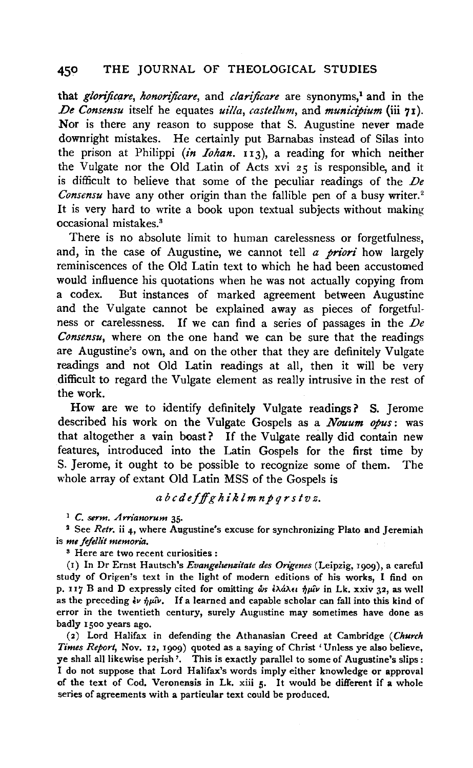that *glorificare*, *honorificare*, and *clarificare* are synonyms,<sup>1</sup> and in the *.De Consensu* itself he equates *uilla, castellum,* and *municipium* (iii 71). Nor is there any reason to suppose that S. Augustine never made downright mistakes. He certainly put Barnabas instead of Silas into the prison at Philippi *(in Iohan.* 113), a reading for which neither the Vulgate nor the Old Latin of Acts xvi 25 is responsible, and it is difficult to believe that some of the peculiar readings of the *De Consensu* have any other origin than the fallible pen of a busy writer.<sup>2</sup> It is very hard to write a book upon textual subjects without making occasional mistakes. 3

There is no absolute limit to human carelessness or forgetfulness, and, in the case of Augustine, we cannot tell *a prion'* how largely reminiscences of the Old Latin text to which he had been accustomed would influence his quotations when he was not actually copying from a codex. But instances of marked agreement between Augustine and the Vulgate cannot be explained away as pieces of forgetfulness or carelessness. If we can find a series of passages in the *De Consensu,* where on the one hand we can be sure that the readings are Augustine's own, and on the other that they are definitely Vulgate readings and not Old Latin readings at all, then it will be very difficult to regard the Vulgate element as really intrusive in the rest of the work.

How are we to identify definitely Vulgate readings? S. Jerome described his work on the Vulgate Gospels as a *Nouum opus:* was that altogether a vain boast? If the Vulgate really did contain new features, introduced into the Latin Gospels for the first time by S. Jerome, it ought to be possible to recognize some of them. The whole array of extant Old Latin MSS of the Gospels is

*a bcdefffghildm np q rs tvz.* 

<sup>1</sup> C. serm. Arrianorum 35.<br><sup>2</sup> See *Retr*. ii 4, where Augustine's excuse for synchronizing Plato and Jeremiah is *me fefellit memoria.* 

s Here are two recent curiosities :

(r) In Dr Ernst Hautsch's *Evangeltenzitate des Origenes* (Leipzig, 1909), a careful study of Origen's text in the light of modern editions of his works, I find on p. II7 B and D expressly cited for omitting  $\phi$ s  $\partial \hat{A} \partial \partial \hat{B}$  in Lk. xxiv 32, as well as the preceding  $\epsilon v \frac{1}{2}\mu\hat{v}$ . If a learned and capable scholar can fall into this kind of error in the twentieth century, surely Augustine may sometimes have done as badly 1500 years ago.

(2) Lord Halifax in defending the Athanasian Creed at Cambridge *(Church Times Report,* Nov. 12, 1909) quoted as a saying of Christ 'Unless ye also believe, ye shall all likewise perish '. This is exactly parallel to some of Augustine's slips : I do not suppose that Lord Halifax's words imply either knowledge or approval of the text of Cod. Veronensis in Lk. xiii 5. It would be different if a whole series of agreements with a particular text could be produced.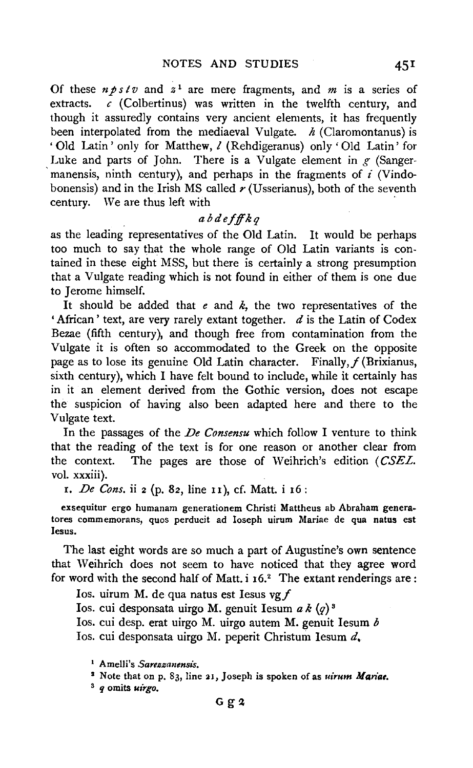Of these  $n \rho s t v$  and  $z^1$  are mere fragments, and  $m$  is a series of extracts. *c* (Colbertinus) was written in the twelfth century, and though it assuredly contains very ancient elements, it has frequently been interpolated from the mediaeval Vulgate. *h* (Claromontanus) is 'Old Latin' only for Matthew,  $l$  (Rehdigeranus) only 'Old Latin' for Luke and parts of John. There is a Vulgate element in  $g$  (Sangermanensis, ninth century), and perhaps in the fragments of *i* (Vindobonensis) and in the Irish MS called *r* (Usserianus), both of the seventh century. We are thus left with

### *abdeff!kq*

as the leading representatives of the Old Latin. It would be perhaps too much to say that the whole range of Old Latin variants is contained in these eight MSS, but there is certainly a strong presumption that a Vulgate reading which is not found in either of them is one due to Jerome himself.

It should be added that  $e$  and  $k$ , the two representatives of the 'African' text, are very rarely extant together.  $d$  is the Latin of Codex Bezae (fifth century), and though free from contamination from the Vulgate it is often so accommodated to the Greek on the Opposite page as to lose its genuine Old Latin character. Finally,  $f$  (Brixianus, sixth century), which I have felt bound to include, while it certainly has in it an element derived from the Gothic version, does not escape the suspicion of having also been adapted here and there to the Vulgate text.

In the passages of the *De Consensu* which follow I venture to think that the reading of the text is for one reason or another clear from the context. The pages are those of Weihrich's edition (CSEL. vol. xxxiii).

x. *De Cons.* ii 2 (p. 82, line u), cf. Matt. i 16:

exsequitur ergo humanam generationem Christi Mattheus ab Abraham generatares commemorans, quos perducit ad Ioseph uirum Mariae de qua natus est Iesus.

The last eight words are so much a part of Augustine's own sentence that Weihrich does not seem to have noticed that they agree word for word with the second half of Matt.  $i$  16.<sup>2</sup> The extant renderings are:

Ios. uirum M. de qua natus est Iesus vg  $f$ 

Ios. cui desponsata uirgo M. genuit Iesum  $a k$   $(q)^3$ 

Ios. cui desp. erat uirgo M. uirgo autem M. genuit lesum *b* 

Ios. cui desponsata uirgo M. peperit Christum lesum d.

<sup>2</sup> Note that on p. 83, line 21, Joseph is spoken of as *uirum Mariae*.

<sup>8</sup>*q* omits *ui'rgo.* 

<sup>&</sup>lt;sup>1</sup> Amelli's *Sareszanensis*.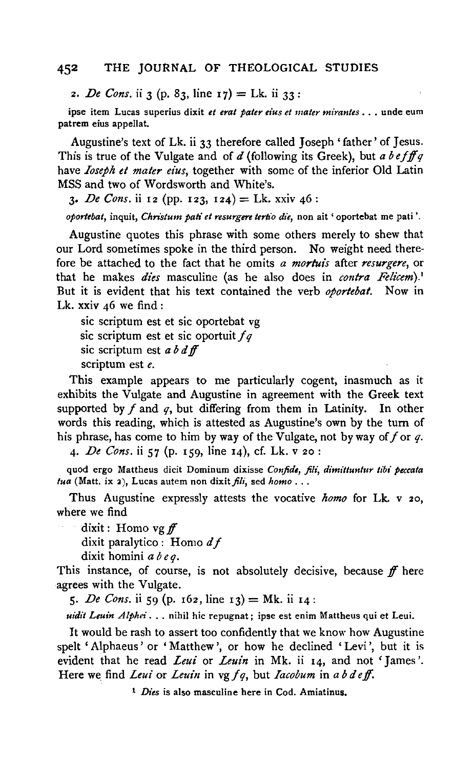2. *De Cons.* ii 3 (p. 83, line 17) = Lk. ii 33:

ipse item Lucas superius dixit *et erat pater eius et mater mirantes* ... unde eum patrem eius appellat.

Augustine's text of Lk. ii 33 therefore called Joseph 'father' of Jesus. This is true of the Vulgate and of *d* (following its Greek), but *a befifq*  have *Ioseph et mater eius,* together with some of the inferior Old Latin MSS and two of Wordsworth and White's.

3. *De Cons.* ii 12 (pp. 123, 124) = Lk. xxiv 46:

*oporlebat,* inquit, *Christum pati et resurgere terlio die,* non ait 'oportebat me pati '.

Augustine quotes this phrase with some others merely to shew that our Lord sometimes spoke in the third person. No weight need therefore be attached to the fact that he omits *a morluis* after *resurgere,* or that he makes *dies* masculine (as he also does in *contra Felicem).'*  But it is evident that his text contained the verb *oportebat.* Now in Lk. xxiv  $46$  we find:

sic scriptum est et sic oportebat vg sic scriptum est et sic oportuit fq sic scriptum est *ab* d *if*  scriptum est *e.* 

This example appears to me particularly cogent, inasmuch as it exhibits the Vulgate and Augustine in agreement with the Greek text supported by  $f$  and  $g$ , but differing from them in Latinity. In other words this reading, which is attested as Augustine's own by the turn of his phrase, has come to him by way of the Vulgate, not by way of  $f$  or  $q$ .

4· *De Cons.* ii 57 (p. 159, line 14), cf. Lk. v 20:

quod ergo Mattheus dicit Dominum dixisse *Confide, fili, dimittuntur tibi peccata*   $tua$  (Matt. ix 2), Lucas autem non dixit  $f_i\ddot{t}$ , sed *homo* ...

Thus Augustine expressly attests the vocative *homo* for Lk. v 20, where we find

dixit : Homo vg ff

dixit paralytica : Homo *d* f

dixit homini *a be q.* 

This instance, of course, is not absolutely decisive, because  $f$  here agrees with the Vulgate.

5. *De Cons.* ii 59 (p. 162, line 13) = Mk. ii 14:

*uidit Leuin Alphei .* .. nihil hie repugnat; ipse est enim Mattheus qui et Leui.

It would be rash to assert too confidently that we know how Augustine spelt 'Alphaeus' or 'Matthew', or how he declined 'Levi ', but it is evident that he read *Leui* or *Leuin* in Mk. ii 14, and not 'James '. Here we find *Leui* or *Leuin* in vg fq, but *Iacobum* in a b d eff.

<sup>1</sup> *Dies* is also masculine here in Cod. Amiatinus.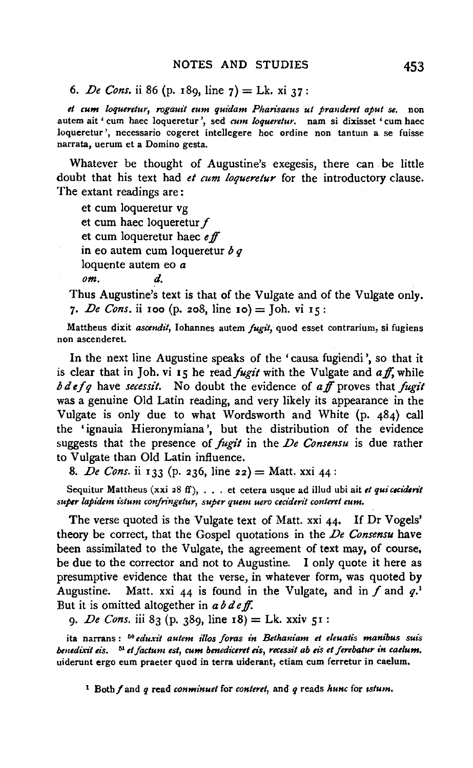6. *De Cons.* ii 86 (p. 189, line  $7$ ) = Lk. xi  $37$ :

et cum loqueretur, rogauit eum quidam Pharisaeus ut pranderet aput se. non autem ait ' cum haec loqueretur ', sed *cum loqueretur.* nam si dixisset 'cum haec loqueretur', necessario cogeret intellegere hoc ordine non tantum a se fuisse narrata, uerum et a Domino gesta.

Whatever be thought of Augustine's exegesis, there can be little doubt that his text had *et cum loqueretur* for the introductory clause. The extant readings are :

et cum loqueretur vg et cum haec loqueretur f et cum loqueretur haec *<sup>e</sup>*ff in eo autem cum loqueretur *b* q loquente autem eo a *om. d.* 

Thus Augustine's text is that of the Vulgate and of the Vulgate only. 7· *De Cons.* ii Ioo (p. 208, line 10) = Joh. vi 15:

Mattheus dixit *ascendit,* Iohannes autem *fugit,* quod esset contrarium, si fugiens non ascenderet.

In the next line Augustine speaks of the 'causa fugiendi ', so that it is clear that in Joh. vi 15 he read *fugit* with the Vulgate and *aff*, while *bdefq have secessit.* No doubt the evidence of aff proves that fugit was a genuine Old Latin reading, and very likely its appearance in the Vulgate is only due to what Wordsworth and White (p. 484) call the 'ignauia Hieronymiana ', but the distribution of the evidence suggests that the presence of *fugit* in the *De Consensu* is due rather to Vulgate than Old Latin influence.

8. *De Cons.* ii 133 (p. 236, line 22) = Matt. xxi 44:

Sequitur Mattheus (xxi 28 ff), . . . et cetera usque ad illud ubi ait *et qui cecidenit super lapidem istum confringetur, super quem uero ceciderit conteret eum.* 

The verse quoted is the Vulgate text of Matt. xxi 44. If Dr Vogels' theory be correct, that the Gospel quotations in the *De Consensu* have been assimilated to the Vulgate, the agreement of text may, of course, be due to the corrector and not to Augustine. I only quote it here as presumptive evidence that the verse, in whatever form, was quoted by Augustine. Matt. xxi 44 is found in the Vulgate, and in  $f$  and  $q$ .<sup>1</sup> But it is omitted altogether in *ab de ff.* 

9· *De Cons.* iii 83 (p. 389, line 18) = Lk. xxiv 51:

ita narrans : 50 *eduxit autem illos foras in Bethaniam et eleuatis manibus suis benedixit eis.* 1 *et factum est, cum benediceret eis, recessit ab eis et ferebatur in caelum.*  uiderunt ergo eum praeter quod in terra uiderant, etiam cum ferretur in caelum.

t Both/ and *q* read *con minuet* for *conteret,* and *q* reads *hunc* for *1stum.*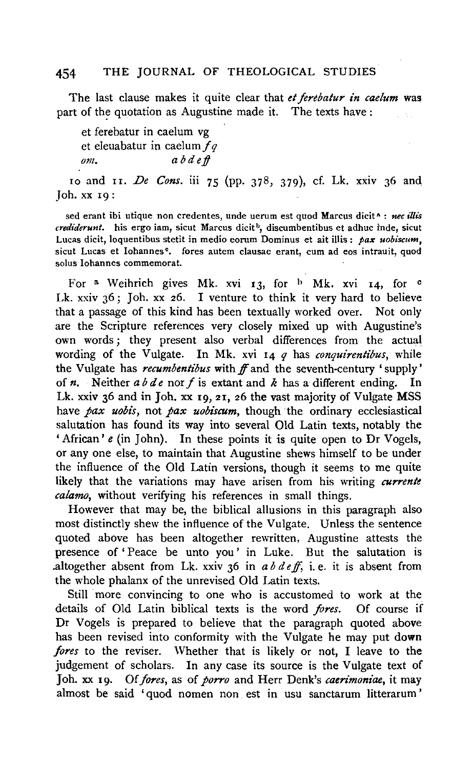The last clause makes it quite clear that *et ferebatur in caelum* was part of the quotation as Augustine made it. The texts have :

et ferebatur in caelum vg et eleuabatur in caelum  $fq$ *om. a bd e.f!* 

10 and 11. *De Cons.* iii 75 (pp. 378, 379), cf. Lk. xxtv 36 and, Job. XX 19:

sed erant ibi utique non credentes, unde uerum est quod Marcus dicit<sup>x</sup> : nec illis *crediderunt.* his ergo iam, sicut Marcus dicit<sup>b</sup>, discumbentibus et adhuc inde, sicut Lucas dicit, loquentibus stetit in media eorum Dominus et ait illis : *pax uobiscum,*  sicut Lucas et Iohannes<sup>o</sup>. fores autem clausae erant, cum ad eos intrauit, quod solus lohannes commemorat.

For a Weihrich gives Mk. xvi 13, for  $\frac{b}{b}$  Mk. xvi 14, for c Lk.  $xxiv$  36; Joh.  $xx$  26. I venture to think it very hard to believe that a passage of this kind has been textually worked over. Not only are the Scripture references very closely mixed up with Augustine's own words; they present also verbal differences from the actual wording of the Vulgate. In Mk. xvi 14 *q* has *conquirentibus,* while the Vulgate has *recumbentibus* with ff and the seventh-century ' supply' of *n.* Neither *a b de* nor f is extant and *k* has a different ending. In Lk. xxiv 36 and in Joh. xx 19, 21, 26 the vast majority of Vulgate MSS have *pax uobis,* not *pax uobiscum,* though the ordinary ecclesiastical salutation has found its way into several Old Latin texts, notably the 'African' *e* (in John). In these points it is quite open to Dr Vogels, or any one else, to maintain that Augustine shews himself to be under the influence of the Old Latin versions, though it seems to me quite likely that the variations may have arisen from his writing *currente calamo,* without verifying his references in small things.

However that may be, the biblical allusions in this paragraph also most distinctly shew the influence of the Vulgate. Unless the sentence quoted above has been altogether rewritten, Augustine attests the presence of' Peace be unto you' in Luke. But the salutation is .altogether absent from Lk. xxiv 36 in  $a\,b\,d\,e\,f$ , i.e. it is absent from the whole phalanx of the unrevised Old Latin texts.

Still more convincing to one who is accustomed to work at the details of Old Latin biblical texts is the word *fores.* Of course if Dr Vogels is prepared to believe that the paragraph quoted above has been revised into conformity with the Vulgate he may put down *fores* to the reviser. Whether that is likely or not, I leave to the judgement of scholars. In any case its source is the Vulgate text of Joh. xx 19. Of *fores*, as of *porro* and Herr Denk's *caerimoniae*, it may almost be said ' quod nomen non est in usu sanctarum litterarum '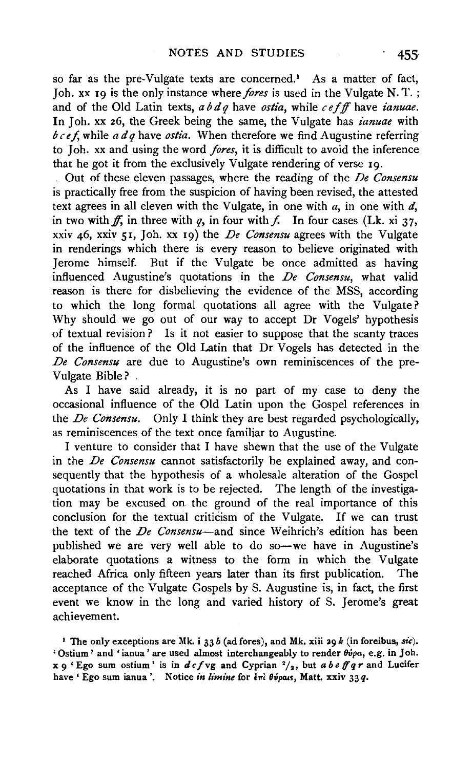so far as the pre-Vulgate texts are concerned.<sup>1</sup> As a matter of fact, Joh. xx 19 is the only instance where *fores* is used in the Vulgate N. T.; and of the Old Latin texts, *ab d q* have *ostia,* while *c e fff* have *ianuae.*  In Joh. xx 26, the Greek being the same, the Vulgate has *ianuae* with  $b \, c \, e f$ , while  $a \, d \, q$  have *ostia*. When therefore we find Augustine referring to Joh. xx and using the word *fores,* it is difficult to avoid the inference that he got it from the exclusively Vulgate rendering of verse 19.

Out of these eleven passages, where the reading of the *De Consensu*  is practically free from the suspicion of having been revised, the attested text agrees in all eleven with the Vulgate, in one with *a,* in one with d, in two with ff, in three with q, in four with f. In four cases (Lk. xi 37, xxiv 46, xxiv 51, Job. xx 19) the *De Consensu* agrees with the Vulgate in renderings which there is every reason to believe originated with Jerome himself. But if the Vulgate be once admitted as having influenced Augustine's quotations in the *De Consensu,* what valid reason is there for disbelieving the evidence of the MSS, according to which the long formal quotations all agree with the Vulgate? Why should we go out of our way to accept Dr Vogels' hypothesis of textual revision ? Is it not easier to suppose that the scanty traces of the influence of the Old Latin that Dr Vogels has detected in the *De Consensu* are due to Augustine's own reminiscences of the pre-Vulgate Bible?

As I have said already, it is no part of my case to deny the occasional influence of the Old Latin upon the Gospel references in the *De Consensu.* Only I think they are best regarded psychologically, as reminiscences of the text once familiar to Augustine.

I venture to consider that I have shewn that the use of the Vulgate in the *De Consensu* cannot satisfactorily be explained away, and consequently that the hypothesis of a wholesale alteration of the Gospel quotations in that work is to be rejected. The length of the investigation may be excused on the ground of the real importance of this conclusion for the textual criticism of the Vulgate. If we can trust the text of the *De Consensu-and* since Weihrich's edition has been published we are very well able to do so—we have in Augustine's elaborate quotations a witness to the form in which the Vulgate reached Africa only fifteen years later than its first publication. The acceptance of the Vulgate Gospels by S. Augustine is, in fact, the first event we know in the long and varied history of S. Jerome's great achievement.

<sup>1</sup> The only exceptions are Mk. i 33 *b* (ad fores), and Mk. xiii 29 *k* (in foreibus, *sic*). ' Ostium' and 'ianua' are used almost interchangeably to render θύρα, e.g. in Joh.  $x \alpha'$  Ego sum ostium ' is in  $d c f v g$  and Cyprian  $\frac{2}{4}$ , but *a b e ff q r* and Lucifer have ' Ego sum ianua '. Notice *in limine* for  $\epsilon \hat{\mathbf{n}}$  *θύραις*, Matt. xxiv 33 *q*.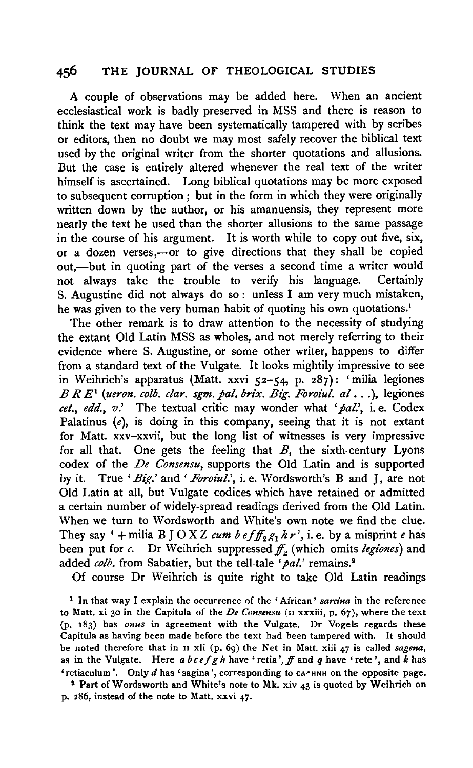A couple of observations may be added here. When an ancient ecclesiastical work is badly preserved in MSS and there is reason to think the text may have been systematically tampered with by scribes or editors, then no doubt we may most safely recover the biblical text used by the original writer from the shorter quotations and allusions. But the case is entirely altered whenever the real text of the writer himself is ascertained. Long biblical quotations may be more exposed to subsequent corruption; but in the form in which they were originally written down by the author, or his amanuensis, they represent more nearly the text he used than the shorter allusions to the same passage in the course of his argument. It is worth while to copy out five, six, or a dozen verses,-or to give directions that they shall be copied out,—but in quoting part of the verses a second time a writer would not always take the trouble to verify his language. Certainly S. Augustine did not always do so : unless I am very much mistaken, he was given to the very human habit of quoting his own quotations.<sup>1</sup>

The other remark is to draw attention to the necessity of studying the extant Old Latin MSS as wholes, and not merely referring to their evidence where S. Augustine, or some other writer, happens to differ from a standard text of the Vulgate. It looks mightily impressive to see in Weihrich's apparatus (Matt. xxvi 52-54, p. 287): 'milia legiones  $B R E^i$  (ueron. colb. clar. sgm. pal. brix. Big. Foroiul. al...), legiones *eel., edd., v.'* The textual critic may wonder what *'pal.',* i.e. Codex Palatinus  $(e)$ , is doing in this company, seeing that it is not extant for Matt. xxv-xxvii, but the long list of witnesses is very impressive for all that. One gets the feeling that  $B$ , the sixth-century Lyons codex of the *De Consensu,* supports the Old Latin and is supported by it. True *'Big.'* and *'Foroiul.',* i.e. Wordsworth's B and J, are not Old Latin at all, but Vulgate codices which have retained or admitted a certain number of widely-spread readings derived from the Old Latin. When we turn to Wordsworth and White's own note we find the clue. They say '+milia B J O X Z *cum b efff<sub>2</sub>g*<sub>1</sub>  $h r$ <sup>2</sup>, i. e. by a misprint *e* has been put for *c*. Dr Weihrich suppressed  $f<sub>1</sub>$ , (which omits *legiones*) and added *colb*. from Sabatier, but the tell-tale 'pal.' remains.<sup>2</sup>

Of course Dr Weihrich is quite right to take Old Latin readings

1 In that way I explain the occurrence of the 'African' *sarcina* in the reference to Matt. xi 30 in the Capitula of the *De Consensu* (u xxxiii, p. 67), where the text (p. 183) has *onus* in agreement with the Vulgate. Dr Vogels regards these Capitula as having been made before the text had been tampered with. It should be noted therefore that in u xli (p. 69) the Net in Matt. xiii 47 is called *sagena,*  as in the Vulgate. Here *ab c e* f *g h* have 'retia', ff and *q* have 'rete ', and *k* has 'retiaculum'. Only *d* has 'sagina', corresponding to carHNH on the opposite page.

<sup>2</sup> Part of Wordsworth and White's note to Mk. xiv  $43$  is quoted by Weihrich on p. 286, instead of the note to Matt. xxvi *47·*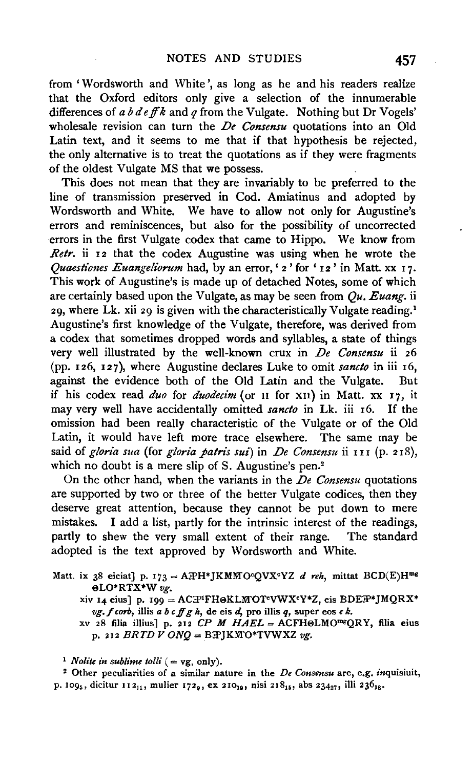from 'Wordsworth and White', as long as he and his readers realize that the Oxford editors only give a selection of the innumerable differences of *a b d eff k* and *q* from the Vulgate. Nothing but Dr Vogels' wholesale revision can turn the *De Consensu* quotations into an Old Latin text, and it seems to me that if that hypothesis be rejected, the only alternative is to treat the quotations as if they were fragments of the oldest Vulgate MS that we possess.

This does not mean that they are invariably to be preferred to the line of transmission preserved in Cod. Amiatinus and adopted by Wordsworth and White. We have to allow not only for Augustine's errors and reminiscences, but also for the possibility of uncorrected errors in the first Vulgate codex that came to Hippo. We know from *Retr.* ii 12 that the codex Augustine was using when he wrote the *Quaestiones Euangeliorum* had, by an error, ' 2' for ' 12' in Matt. xx 17. This work of Augustine's is made up of detached Notes, some of which are certainly based upon the Vulgate, as may be seen from *Qu. Euang.* ii 29, where Lk. xii 29 is given with the characteristically Vulgate reading. <sup>1</sup> Augustine's first knowledge of the Vulgate, therefore, was derived from a codex that sometimes dropped words and syllables, a state of things very well illustrated by the well-known crux in *De Consensu* ii *z6*  (pp. 126, 127), where Augustine declares Luke to omit *sancto* in iii 16, against the evidence both of the Old Latin and the Vulgate. But if his codex read *duo* for *duodecim* (or II for XII) in Matt. xx 17, it may very well have accidentally omitted *sancto* in Lk. iii 16. If the omission had been really characteristic of the Vulgate or of the Old Latin, it would have left more trace elsewhere. The same may be said of *gloria sua* (for *gloria patris sui)* in *De Consensu* ii I I I (p. 2 I 8), which no doubt is a mere slip of S. Augustine's pen.<sup>2</sup>

On the other hand, when the variants in the *De Consensu* quotations are supported by two or three of the better Vulgate codices, then they deserve great attention, because they cannot be put down to mere mistakes. I add a list, partly for the intrinsic interest of the readings, partly to shew the very small extent of their range. The standard adopted is the text approved by Wordsworth and White.

Matt. ix 38 eiciat] p. 173 = ATH\*JKMMO<sup>c</sup>QVX<sup>c</sup>YZ *d reh*, mittat BCD(E)H<sup>mg</sup> eLO\*RTX\*W *vg.* 

xiv 14 eius] p. 199 = AC $\overline{P}^1$ FH&KLMOT<sup>c</sup>VWX<sup>c</sup>Y\*Z, eis BDE $\overline{P}^*$ JMQRX\* *vg.* f *corb,* illis *a b cif g h,* de eis *d,* pro ill is *q,* super eos *e k.* 

xv 28 filia illius] p. 212 *CP M HAEL* = ACFHeLMOmgQRY, filia eius p. 212  $BRTD V ONQ = BAYKMO*TVWXZ vy.$ 

<sup>1</sup>*Nolite in sublime tolli* ( = vg, only). 2 Other peculiarities of a similar nature in the *De Consensu* are, e.g. inquisiuit, p. 109<sub>5</sub>, dicitur 112<sub>11</sub>, mulier 172<sub>9</sub>, ex 210<sub>19</sub>, nisi 218<sub>15</sub>, abs 234<sub>27</sub>, illi 236<sub>18</sub>.